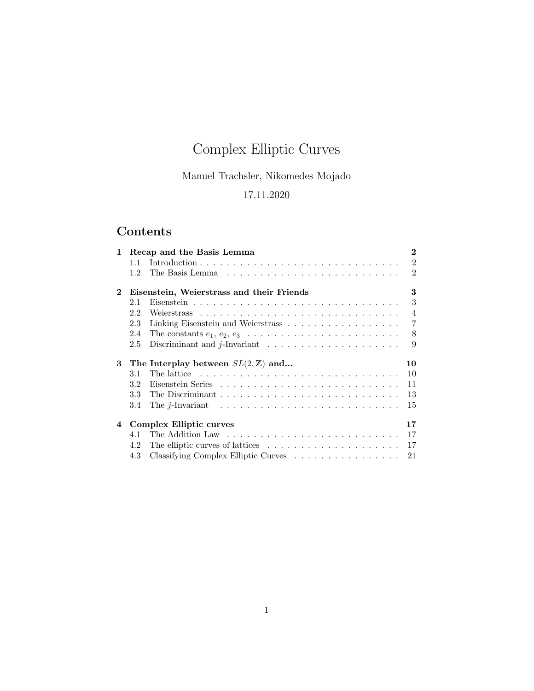# Complex Elliptic Curves

Manuel Trachsler, Nikomedes Mojado

# 17.11.2020

# Contents

| $\mathbf{1}$            | Recap and the Basis Lemma                      |                                                                                         |                |  |  |
|-------------------------|------------------------------------------------|-----------------------------------------------------------------------------------------|----------------|--|--|
|                         | 1.1                                            |                                                                                         | $\mathfrak{D}$ |  |  |
|                         | 1.2                                            |                                                                                         | $\mathfrak{D}$ |  |  |
| $\mathbf{2}$            | 3<br>Eisenstein, Weierstrass and their Friends |                                                                                         |                |  |  |
|                         | 2.1                                            |                                                                                         | 3              |  |  |
|                         | 2.2                                            |                                                                                         | $\overline{4}$ |  |  |
|                         | 2.3                                            | Linking Eisenstein and Weierstrass                                                      | $\overline{7}$ |  |  |
|                         | 2.4                                            | The constants $e_1, e_2, e_3 \ldots \ldots \ldots \ldots \ldots \ldots \ldots \ldots$   | 8              |  |  |
|                         | 2.5                                            | Discriminant and $j$ -Invariant $\ldots \ldots \ldots \ldots \ldots \ldots$             | 9              |  |  |
|                         |                                                |                                                                                         |                |  |  |
| 3                       |                                                | The Interplay between $SL(2,\mathbb{Z})$ and                                            | 10             |  |  |
|                         | 3.1                                            | The lattice $\ldots \ldots \ldots \ldots \ldots \ldots \ldots \ldots \ldots \ldots$     | 10             |  |  |
|                         | 3.2                                            |                                                                                         | 11             |  |  |
|                         | 3.3 <sub>1</sub>                               |                                                                                         | 13             |  |  |
|                         | 3.4                                            | The j-Invariant $\ldots \ldots \ldots \ldots \ldots \ldots \ldots \ldots \ldots \ldots$ | 15             |  |  |
| $\overline{\mathbf{4}}$ |                                                | <b>Complex Elliptic curves</b>                                                          | 17             |  |  |
|                         | 4.1                                            |                                                                                         | 17             |  |  |
|                         | 4.2                                            | The elliptic curves of lattices $\ldots \ldots \ldots \ldots \ldots \ldots$             | 17             |  |  |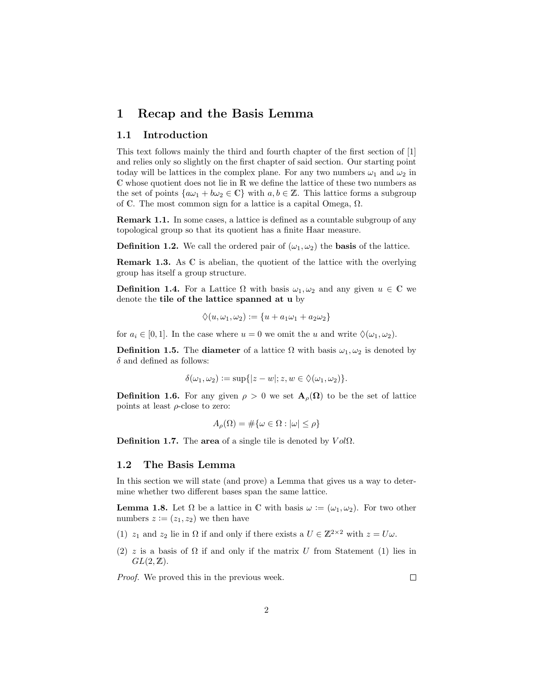### 1 Recap and the Basis Lemma

#### 1.1 Introduction

This text follows mainly the third and fourth chapter of the first section of [1] and relies only so slightly on the first chapter of said section. Our starting point today will be lattices in the complex plane. For any two numbers  $\omega_1$  and  $\omega_2$  in C whose quotient does not lie in R we define the lattice of these two numbers as the set of points  $\{a\omega_1 + b\omega_2 \in \mathbb{C}\}\$  with  $a, b \in \mathbb{Z}$ . This lattice forms a subgroup of C. The most common sign for a lattice is a capital Omega,  $\Omega$ .

Remark 1.1. In some cases, a lattice is defined as a countable subgroup of any topological group so that its quotient has a finite Haar measure.

**Definition 1.2.** We call the ordered pair of  $(\omega_1, \omega_2)$  the **basis** of the lattice.

Remark 1.3. As C is abelian, the quotient of the lattice with the overlying group has itself a group structure.

**Definition 1.4.** For a Lattice  $\Omega$  with basis  $\omega_1, \omega_2$  and any given  $u \in \mathbb{C}$  we denote the tile of the lattice spanned at u by

$$
\diamondsuit(u,\omega_1,\omega_2):=\{u+a_1\omega_1+a_2\omega_2\}
$$

for  $a_i \in [0,1]$ . In the case where  $u = 0$  we omit the u and write  $\Diamond(\omega_1, \omega_2)$ .

**Definition 1.5.** The **diameter** of a lattice  $\Omega$  with basis  $\omega_1, \omega_2$  is denoted by  $\delta$  and defined as follows:

$$
\delta(\omega_1, \omega_2) := \sup\{|z - w|; z, w \in \Diamond(\omega_1, \omega_2)\}.
$$

**Definition 1.6.** For any given  $\rho > 0$  we set  $\mathbf{A}_{\rho}(\Omega)$  to be the set of lattice points at least  $\rho$ -close to zero:

$$
A_{\rho}(\Omega) = \#\{\omega \in \Omega : |\omega| \le \rho\}
$$

Definition 1.7. The area of a single tile is denoted by  $Vol\Omega$ .

#### 1.2 The Basis Lemma

In this section we will state (and prove) a Lemma that gives us a way to determine whether two different bases span the same lattice.

**Lemma 1.8.** Let  $\Omega$  be a lattice in C with basis  $\omega := (\omega_1, \omega_2)$ . For two other numbers  $z := (z_1, z_2)$  we then have

- (1)  $z_1$  and  $z_2$  lie in  $\Omega$  if and only if there exists a  $U \in \mathbb{Z}^{2 \times 2}$  with  $z = U \omega$ .
- (2) z is a basis of  $\Omega$  if and only if the matrix U from Statement (1) lies in  $GL(2,\mathbb{Z}).$

Proof. We proved this in the previous week.

 $\Box$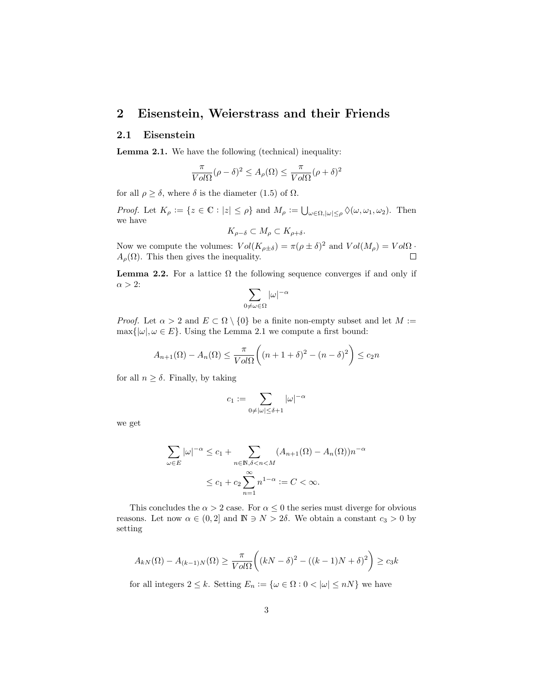## 2 Eisenstein, Weierstrass and their Friends

#### 2.1 Eisenstein

Lemma 2.1. We have the following (technical) inequality:

$$
\frac{\pi}{Vol\Omega}(\rho - \delta)^2 \le A_{\rho}(\Omega) \le \frac{\pi}{Vol\Omega}(\rho + \delta)^2
$$

for all  $\rho \geq \delta$ , where  $\delta$  is the diameter (1.5) of  $\Omega$ .

Proof. Let  $K_{\rho} := \{ z \in \mathbb{C} : |z| \leq \rho \}$  and  $M_{\rho} := \bigcup_{\omega \in \Omega, |\omega| \leq \rho} \Diamond(\omega, \omega_1, \omega_2)$ . Then we have

$$
K_{\rho-\delta} \subset M_{\rho} \subset K_{\rho+\delta}.
$$

Now we compute the volumes:  $Vol(K_{\rho \pm \delta}) = \pi (\rho \pm \delta)^2$  and  $Vol(M_{\rho}) = Vol\Omega$ .  $A_{\rho}(\Omega)$ . This then gives the inequality.

**Lemma 2.2.** For a lattice  $\Omega$  the following sequence converges if and only if  $\alpha > 2$ :

$$
\sum_{0 \neq \omega \in \Omega} |\omega|^{-\alpha}
$$

*Proof.* Let  $\alpha > 2$  and  $E \subset \Omega \setminus \{0\}$  be a finite non-empty subset and let  $M :=$  $\max\{|\omega|, \omega \in E\}$ . Using the Lemma 2.1 we compute a first bound:

$$
A_{n+1}(\Omega) - A_n(\Omega) \le \frac{\pi}{Vol\Omega} \left( (n+1+\delta)^2 - (n-\delta)^2 \right) \le c_2 n
$$

for all  $n \geq \delta$ . Finally, by taking

$$
c_1 := \sum_{0 \neq |\omega| \leq \delta + 1} |\omega|^{-\alpha}
$$

we get

$$
\sum_{\omega \in E} |\omega|^{-\alpha} \le c_1 + \sum_{n \in \mathbb{N}, \delta < n < M} (A_{n+1}(\Omega) - A_n(\Omega)) n^{-\alpha}
$$
\n
$$
\le c_1 + c_2 \sum_{n=1}^{\infty} n^{1-\alpha} := C < \infty.
$$

This concludes the  $\alpha > 2$  case. For  $\alpha \leq 0$  the series must diverge for obvious reasons. Let now  $\alpha \in (0, 2]$  and  $\mathbb{N} \ni N > 2\delta$ . We obtain a constant  $c_3 > 0$  by setting

$$
A_{kN}(\Omega) - A_{(k-1)N}(\Omega) \ge \frac{\pi}{Vol\Omega} \bigg( (kN - \delta)^2 - ((k-1)N + \delta)^2 \bigg) \ge c_3 k
$$

for all integers  $2 \leq k$ . Setting  $E_n := \{ \omega \in \Omega : 0 < |\omega| \leq nN \}$  we have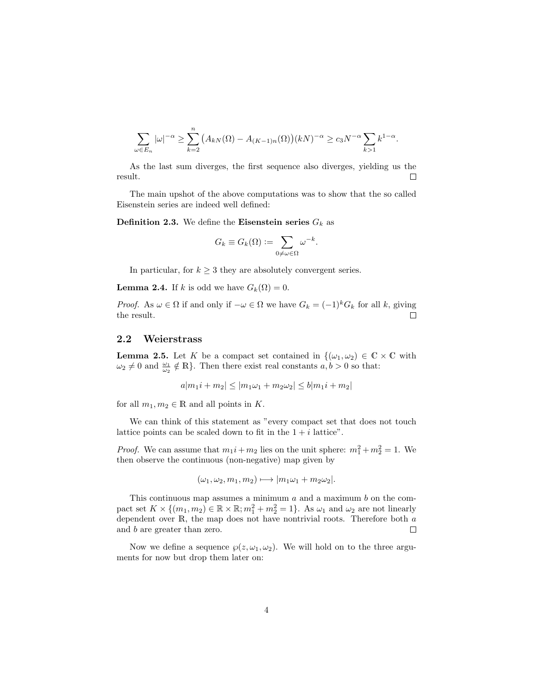$$
\sum_{\omega \in E_n} |\omega|^{-\alpha} \ge \sum_{k=2}^n (A_{kN}(\Omega) - A_{(K-1)n}(\Omega))(kN)^{-\alpha} \ge c_3 N^{-\alpha} \sum_{k>1} k^{1-\alpha}.
$$

As the last sum diverges, the first sequence also diverges, yielding us the result.  $\Box$ 

The main upshot of the above computations was to show that the so called Eisenstein series are indeed well defined:

**Definition 2.3.** We define the Eisenstein series  $G_k$  as

$$
G_k \equiv G_k(\Omega) := \sum_{0 \neq \omega \in \Omega} \omega^{-k}.
$$

In particular, for  $k \geq 3$  they are absolutely convergent series.

**Lemma 2.4.** If k is odd we have  $G_k(\Omega) = 0$ .

*Proof.* As  $\omega \in \Omega$  if and only if  $-\omega \in \Omega$  we have  $G_k = (-1)^k G_k$  for all k, giving the result.  $\Box$ 

#### 2.2 Weierstrass

**Lemma 2.5.** Let K be a compact set contained in  $\{(\omega_1, \omega_2) \in \mathbb{C} \times \mathbb{C} \text{ with } \mathbb{C} \times \mathbb{C} \times \mathbb{C} \}$  $\omega_2 \neq 0$  and  $\frac{\omega_1}{\omega_2} \notin \mathbb{R}$ . Then there exist real constants  $a, b > 0$  so that:

$$
a|m_1i + m_2| \le |m_1\omega_1 + m_2\omega_2| \le b|m_1i + m_2|
$$

for all  $m_1, m_2 \in \mathbb{R}$  and all points in K.

We can think of this statement as "every compact set that does not touch lattice points can be scaled down to fit in the  $1 + i$  lattice".

*Proof.* We can assume that  $m_1 i + m_2$  lies on the unit sphere:  $m_1^2 + m_2^2 = 1$ . We then observe the continuous (non-negative) map given by

$$
(\omega_1, \omega_2, m_1, m_2) \longmapsto |m_1\omega_1 + m_2\omega_2|.
$$

This continuous map assumes a minimum  $a$  and a maximum  $b$  on the compact set  $K \times \{(m_1, m_2) \in \mathbb{R} \times \mathbb{R}; m_1^2 + m_2^2 = 1\}$ . As  $\omega_1$  and  $\omega_2$  are not linearly dependent over R, the map does not have nontrivial roots. Therefore both a and b are greater than zero.  $\Box$ 

Now we define a sequence  $\wp(z, \omega_1, \omega_2)$ . We will hold on to the three arguments for now but drop them later on: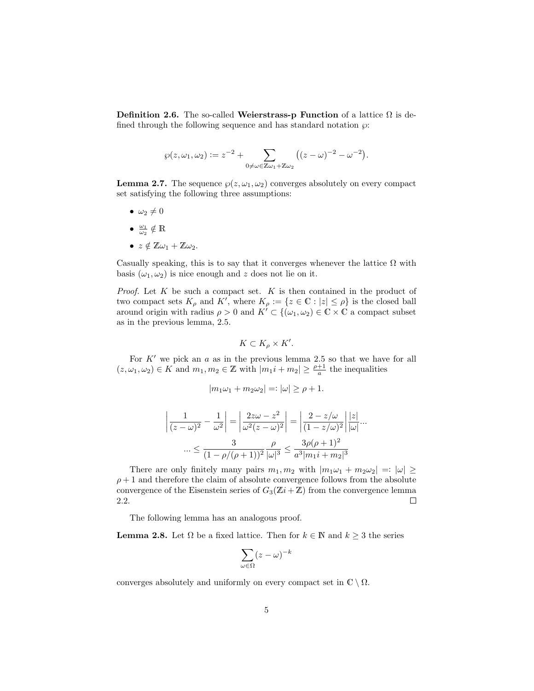Definition 2.6. The so-called Weierstrass-p Function of a lattice  $\Omega$  is defined through the following sequence and has standard notation  $\wp$ :

$$
\wp(z,\omega_1,\omega_2):=z^{-2}+\sum_{0\neq\omega\in\mathbb{Z}\omega_1+\mathbb{Z}\omega_2}\big((z-\omega)^{-2}-\omega^{-2}\big).
$$

**Lemma 2.7.** The sequence  $\wp(z, \omega_1, \omega_2)$  converges absolutely on every compact set satisfying the following three assumptions:

- $\bullet \ \omega_2 \neq 0$
- $\frac{\omega_1}{\omega_2} \notin \mathbb{R}$
- $z \notin \mathbb{Z}\omega_1 + \mathbb{Z}\omega_2$ .

Casually speaking, this is to say that it converges whenever the lattice  $\Omega$  with basis  $(\omega_1, \omega_2)$  is nice enough and z does not lie on it.

*Proof.* Let  $K$  be such a compact set.  $K$  is then contained in the product of two compact sets  $K_{\rho}$  and  $K'$ , where  $K_{\rho} := \{z \in \mathbb{C} : |z| \leq \rho\}$  is the closed ball around origin with radius  $\rho > 0$  and  $K' \subset \{(\omega_1, \omega_2) \in \mathbb{C} \times \mathbb{C} \text{ a compact subset}\}$ as in the previous lemma, 2.5.

$$
K \subset K_{\rho} \times K'.
$$

For  $K'$  we pick an  $a$  as in the previous lemma 2.5 so that we have for all  $(z, \omega_1, \omega_2) \in K$  and  $m_1, m_2 \in \mathbb{Z}$  with  $|m_1i + m_2| \geq \frac{\rho+1}{a}$  the inequalities

$$
|m_1\omega_1 + m_2\omega_2| =: |\omega| \ge \rho + 1.
$$

$$
\left| \frac{1}{(z-\omega)^2} - \frac{1}{\omega^2} \right| = \left| \frac{2z\omega - z^2}{\omega^2 (z-\omega)^2} \right| = \left| \frac{2 - z/\omega}{(1 - z/\omega)^2} \right| \frac{|z|}{|\omega|} ...
$$
  
 
$$
\cdots \le \frac{3}{(1 - \rho/(\rho + 1))^2} \frac{\rho}{|\omega|^3} \le \frac{3\rho(\rho + 1)^2}{a^3 |m_1 i + m_2|^3}
$$

There are only finitely many pairs  $m_1, m_2$  with  $|m_1\omega_1 + m_2\omega_2| =: |\omega| \ge$  $\rho + 1$  and therefore the claim of absolute convergence follows from the absolute convergence of the Eisenstein series of  $G_3(\mathbb{Z}i + \mathbb{Z})$  from the convergence lemma 2.2.  $\Box$ 

The following lemma has an analogous proof.

**Lemma 2.8.** Let  $\Omega$  be a fixed lattice. Then for  $k \in \mathbb{N}$  and  $k \geq 3$  the series

$$
\sum_{\omega \in \Omega} (z-\omega)^{-k}
$$

converges absolutely and uniformly on every compact set in  $\mathbb{C} \setminus \Omega$ .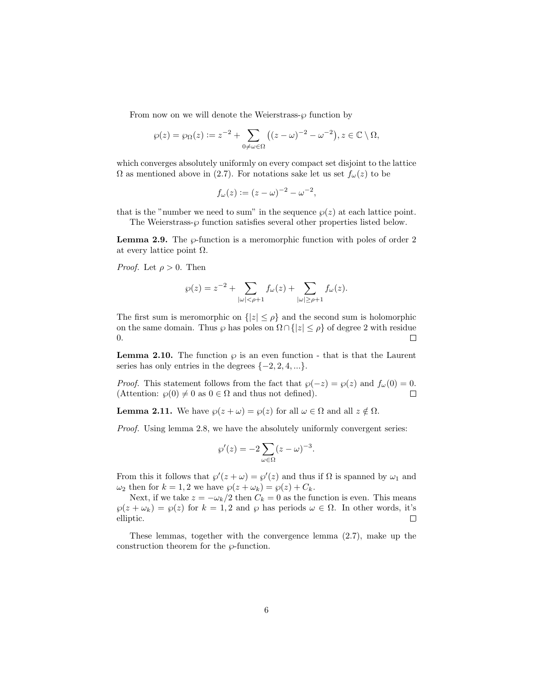From now on we will denote the Weierstrass- $\wp$  function by

$$
\wp(z) = \wp_{\Omega}(z) := z^{-2} + \sum_{0 \neq \omega \in \Omega} ((z - \omega)^{-2} - \omega^{-2}), z \in \mathbb{C} \setminus \Omega,
$$

which converges absolutely uniformly on every compact set disjoint to the lattice  $\Omega$  as mentioned above in (2.7). For notations sake let us set  $f_{\omega}(z)$  to be

$$
f_{\omega}(z) := (z - \omega)^{-2} - \omega^{-2},
$$

that is the "number we need to sum" in the sequence  $\wp(z)$  at each lattice point. The Weierstrass- $\wp$  function satisfies several other properties listed below.

**Lemma 2.9.** The  $\wp$ -function is a meromorphic function with poles of order 2 at every lattice point  $\Omega$ .

*Proof.* Let  $\rho > 0$ . Then

$$
\wp(z) = z^{-2} + \sum_{|\omega| < \rho + 1} f_{\omega}(z) + \sum_{|\omega| \ge \rho + 1} f_{\omega}(z).
$$

The first sum is meromorphic on  $\{|z| \leq \rho\}$  and the second sum is holomorphic on the same domain. Thus  $\wp$  has poles on  $\Omega \cap \{|z| \leq \rho\}$  of degree 2 with residue 0.  $\Box$ 

**Lemma 2.10.** The function  $\wp$  is an even function - that is that the Laurent series has only entries in the degrees  $\{-2, 2, 4, ...\}$ .

*Proof.* This statement follows from the fact that  $\wp(-z) = \wp(z)$  and  $f_{\omega}(0) = 0$ . (Attention:  $\wp(0) \neq 0$  as  $0 \in \Omega$  and thus not defined).  $\Box$ 

**Lemma 2.11.** We have  $\varphi(z + \omega) = \varphi(z)$  for all  $\omega \in \Omega$  and all  $z \notin \Omega$ .

*Proof.* Using lemma 2.8, we have the absolutely uniformly convergent series:

$$
\wp'(z) = -2\sum_{\omega \in \Omega} (z - \omega)^{-3}.
$$

From this it follows that  $\wp'(z+\omega) = \wp'(z)$  and thus if  $\Omega$  is spanned by  $\omega_1$  and  $\omega_2$  then for  $k = 1, 2$  we have  $\wp(z + \omega_k) = \wp(z) + C_k$ .

Next, if we take  $z = -\omega_k/2$  then  $C_k = 0$  as the function is even. This means  $\wp(z + \omega_k) = \wp(z)$  for  $k = 1, 2$  and  $\wp$  has periods  $\omega \in \Omega$ . In other words, it's elliptic.  $\Box$ 

These lemmas, together with the convergence lemma (2.7), make up the construction theorem for the  $\wp$ -function.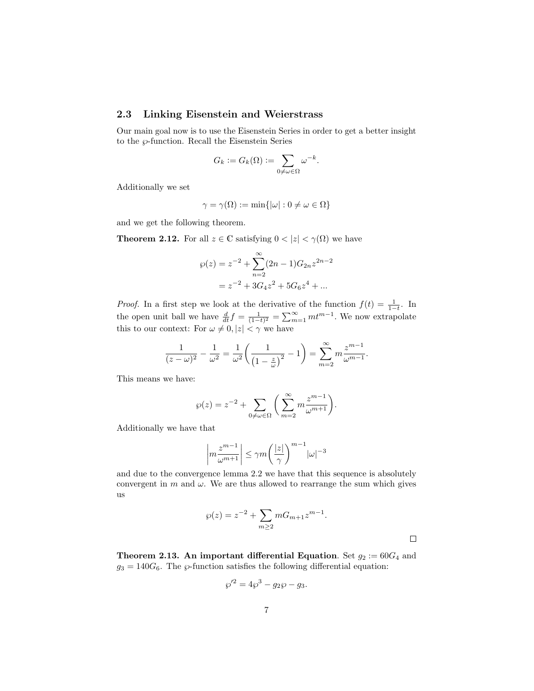#### 2.3 Linking Eisenstein and Weierstrass

Our main goal now is to use the Eisenstein Series in order to get a better insight to the  $\wp$ -function. Recall the Eisenstein Series

$$
G_k := G_k(\Omega) := \sum_{0 \neq \omega \in \Omega} \omega^{-k}.
$$

Additionally we set

$$
\gamma = \gamma(\Omega) := \min\{|\omega| : 0 \neq \omega \in \Omega\}
$$

and we get the following theorem.

**Theorem 2.12.** For all  $z \in \mathbb{C}$  satisfying  $0 < |z| < \gamma(\Omega)$  we have

$$
\wp(z) = z^{-2} + \sum_{n=2}^{\infty} (2n - 1)G_{2n} z^{2n-2}
$$

$$
= z^{-2} + 3G_4 z^2 + 5G_6 z^4 + \dots
$$

*Proof.* In a first step we look at the derivative of the function  $f(t) = \frac{1}{1-t}$ . In the open unit ball we have  $\frac{d}{dt}f = \frac{1}{(1-t)^2} = \sum_{m=1}^{\infty} m t^{m-1}$ . We now extrapolate this to our context: For  $\omega \neq 0, |z| < \gamma$  we have

$$
\frac{1}{(z-\omega)^2} - \frac{1}{\omega^2} = \frac{1}{\omega^2} \left( \frac{1}{\left(1 - \frac{z}{\omega}\right)^2} - 1 \right) = \sum_{m=2}^{\infty} m \frac{z^{m-1}}{\omega^{m-1}}.
$$

This means we have:

$$
\wp(z) = z^{-2} + \sum_{0 \neq \omega \in \Omega} \bigg( \sum_{m=2}^{\infty} m \frac{z^{m-1}}{\omega^{m+1}} \bigg).
$$

Additionally we have that

$$
\left| m \frac{z^{m-1}}{\omega^{m+1}} \right| \leq \gamma m \bigg( \frac{|z|}{\gamma} \bigg)^{m-1} |\omega|^{-3}
$$

and due to the convergence lemma 2.2 we have that this sequence is absolutely convergent in  $m$  and  $\omega$ . We are thus allowed to rearrange the sum which gives us

$$
\wp(z) = z^{-2} + \sum_{m \ge 2} m G_{m+1} z^{m-1}.
$$

**Theorem 2.13. An important differential Equation.** Set  $g_2 := 60G_4$  and  $g_3 = 140G_6$ . The  $\wp$ -function satisfies the following differential equation:

$$
\rho'^2 = 4\wp^3 - g_2\wp - g_3.
$$

℘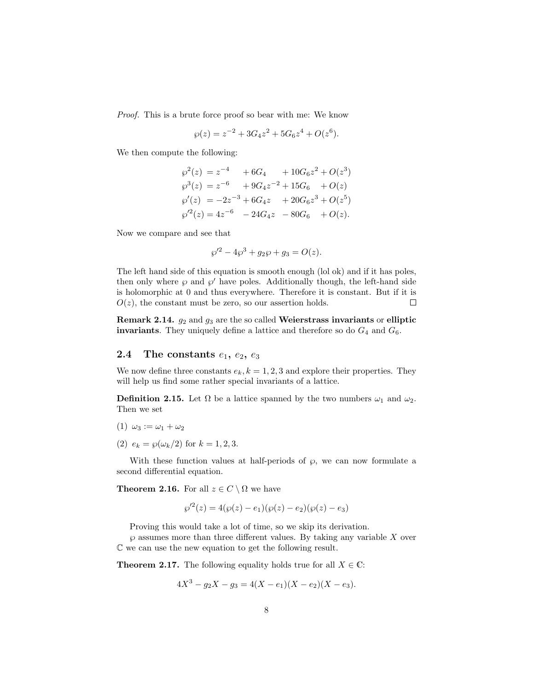Proof. This is a brute force proof so bear with me: We know

$$
\wp(z) = z^{-2} + 3G_4 z^2 + 5G_6 z^4 + O(z^6).
$$

We then compute the following:

$$
\wp^{2}(z) = z^{-4} + 6G_{4} + 10G_{6}z^{2} + O(z^{3})
$$
  
\n
$$
\wp^{3}(z) = z^{-6} + 9G_{4}z^{-2} + 15G_{6} + O(z)
$$
  
\n
$$
\wp'(z) = -2z^{-3} + 6G_{4}z + 20G_{6}z^{3} + O(z^{5})
$$
  
\n
$$
\wp'^{2}(z) = 4z^{-6} - 24G_{4}z - 80G_{6} + O(z).
$$

Now we compare and see that

$$
\wp'^2 - 4\wp^3 + g_2\wp + g_3 = O(z).
$$

The left hand side of this equation is smooth enough (lol ok) and if it has poles, then only where  $\wp$  and  $\wp'$  have poles. Additionally though, the left-hand side is holomorphic at 0 and thus everywhere. Therefore it is constant. But if it is  $O(z)$ , the constant must be zero, so our assertion holds.  $\Box$ 

Remark 2.14.  $g_2$  and  $g_3$  are the so called Weierstrass invariants or elliptic invariants. They uniquely define a lattice and therefore so do  $G_4$  and  $G_6$ .

#### 2.4 The constants  $e_1, e_2, e_3$

We now define three constants  $e_k$ ,  $k = 1, 2, 3$  and explore their properties. They will help us find some rather special invariants of a lattice.

**Definition 2.15.** Let  $\Omega$  be a lattice spanned by the two numbers  $\omega_1$  and  $\omega_2$ . Then we set

- (1)  $\omega_3 := \omega_1 + \omega_2$
- (2)  $e_k = \wp(\omega_k/2)$  for  $k = 1, 2, 3$ .

With these function values at half-periods of  $\wp$ , we can now formulate a second differential equation.

**Theorem 2.16.** For all  $z \in C \setminus \Omega$  we have

$$
\wp'^{2}(z) = 4(\wp(z) - e_1)(\wp(z) - e_2)(\wp(z) - e_3)
$$

Proving this would take a lot of time, so we skip its derivation.

 $\wp$  assumes more than three different values. By taking any variable  $X$  over C we can use the new equation to get the following result.

**Theorem 2.17.** The following equality holds true for all  $X \in \mathbb{C}$ :

$$
4X^3 - g_2X - g_3 = 4(X - e_1)(X - e_2)(X - e_3).
$$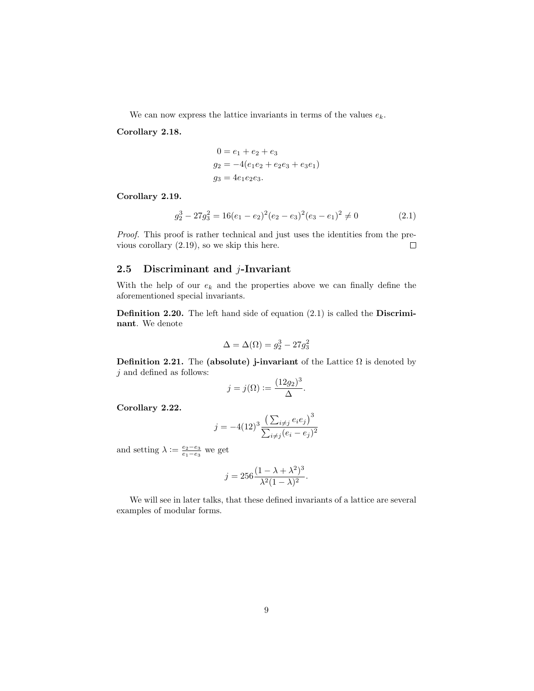We can now express the lattice invariants in terms of the values  $e_k$ .

#### Corollary 2.18.

$$
0 = e_1 + e_2 + e_3
$$
  
\n
$$
g_2 = -4(e_1e_2 + e_2e_3 + e_3e_1)
$$
  
\n
$$
g_3 = 4e_1e_2e_3.
$$

#### Corollary 2.19.

$$
g_2^3 - 27g_3^2 = 16(e_1 - e_2)^2(e_2 - e_3)^2(e_3 - e_1)^2 \neq 0
$$
 (2.1)

Proof. This proof is rather technical and just uses the identities from the previous corollary (2.19), so we skip this here.  $\Box$ 

#### 2.5 Discriminant and j-Invariant

With the help of our  $e_k$  and the properties above we can finally define the aforementioned special invariants.

Definition 2.20. The left hand side of equation (2.1) is called the Discriminant. We denote

$$
\Delta = \Delta(\Omega) = g_2^3 - 27g_3^2
$$

Definition 2.21. The (absolute) j-invariant of the Lattice  $\Omega$  is denoted by  $j$  and defined as follows:

$$
j = j(\Omega) := \frac{(12g_2)^3}{\Delta}.
$$

Corollary 2.22.

$$
j = -4(12)^{3} \frac{\left(\sum_{i \neq j} e_{i} e_{j}\right)^{3}}{\sum_{i \neq j} (e_{i} - e_{j})^{2}}
$$

and setting  $\lambda := \frac{e_2 - e_3}{e_1 - e_3}$  we get

$$
j = 256 \frac{(1 - \lambda + \lambda^2)^3}{\lambda^2 (1 - \lambda)^2}.
$$

We will see in later talks, that these defined invariants of a lattice are several examples of modular forms.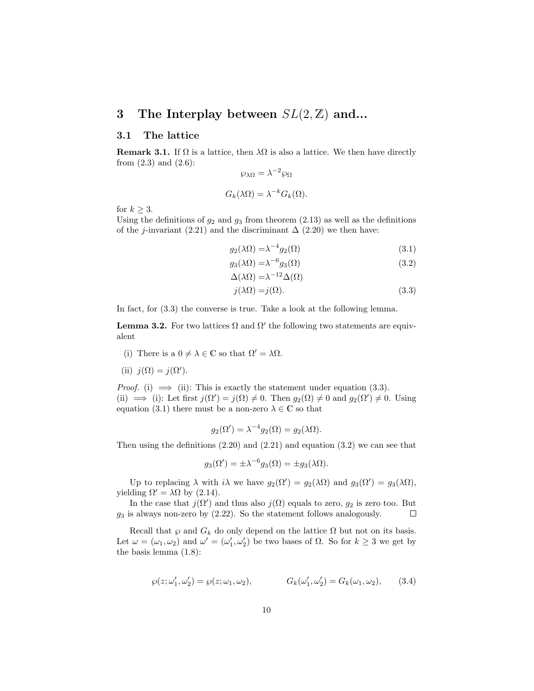# 3 The Interplay between  $SL(2, \mathbb{Z})$  and...

#### 3.1 The lattice

**Remark 3.1.** If  $\Omega$  is a lattice, then  $\lambda\Omega$  is also a lattice. We then have directly from  $(2.3)$  and  $(2.6)$ :

$$
\wp_{\lambda\Omega} = \lambda^{-2} \wp_{\Omega}
$$

$$
G_k(\lambda\Omega) = \lambda^{-k} G_k(\Omega).
$$

for  $k \geq 3$ .

Using the definitions of  $g_2$  and  $g_3$  from theorem (2.13) as well as the definitions of the j-invariant (2.21) and the discriminant  $\Delta$  (2.20) we then have:

$$
g_2(\lambda \Omega) = \lambda^{-4} g_2(\Omega) \tag{3.1}
$$

$$
g_3(\lambda \Omega) = \lambda^{-6} g_3(\Omega) \tag{3.2}
$$

$$
\Delta(\lambda \Omega) = \lambda^{-12} \Delta(\Omega)
$$
  
\n
$$
j(\lambda \Omega) = j(\Omega).
$$
\n(3.3)

In fact, for (3.3) the converse is true. Take a look at the following lemma.

**Lemma 3.2.** For two lattices  $\Omega$  and  $\Omega'$  the following two statements are equivalent

(i) There is a  $0 \neq \lambda \in \mathbb{C}$  so that  $\Omega' = \lambda \Omega$ .

(ii) 
$$
j(\Omega) = j(\Omega').
$$

*Proof.* (i)  $\implies$  (ii): This is exactly the statement under equation (3.3). (ii)  $\implies$  (i): Let first  $j(\Omega') = j(\Omega) \neq 0$ . Then  $g_2(\Omega) \neq 0$  and  $g_2(\Omega') \neq 0$ . Using equation (3.1) there must be a non-zero  $\lambda \in \mathbb{C}$  so that

$$
g_2(\Omega') = \lambda^{-4} g_2(\Omega) = g_2(\lambda \Omega).
$$

Then using the definitions  $(2.20)$  and  $(2.21)$  and equation  $(3.2)$  we can see that

$$
g_3(\Omega') = \pm \lambda^{-6} g_3(\Omega) = \pm g_3(\lambda \Omega).
$$

Up to replacing  $\lambda$  with  $i\lambda$  we have  $g_2(\Omega') = g_2(\lambda \Omega)$  and  $g_3(\Omega') = g_3(\lambda \Omega)$ , yielding  $\Omega' = \lambda \Omega$  by (2.14).

In the case that  $j(\Omega')$  and thus also  $j(\Omega)$  equals to zero,  $g_2$  is zero too. But  $g_3$  is always non-zero by  $(2.22)$ . So the statement follows analogously.  $\Box$ 

Recall that  $\wp$  and  $G_k$  do only depend on the lattice  $\Omega$  but not on its basis. Let  $\omega = (\omega_1, \omega_2)$  and  $\omega' = (\omega'_1, \omega'_2)$  be two bases of  $\Omega$ . So for  $k \geq 3$  we get by the basis lemma (1.8):

$$
\wp(z; \omega'_1, \omega'_2) = \wp(z; \omega_1, \omega_2), \qquad G_k(\omega'_1, \omega'_2) = G_k(\omega_1, \omega_2), \qquad (3.4)
$$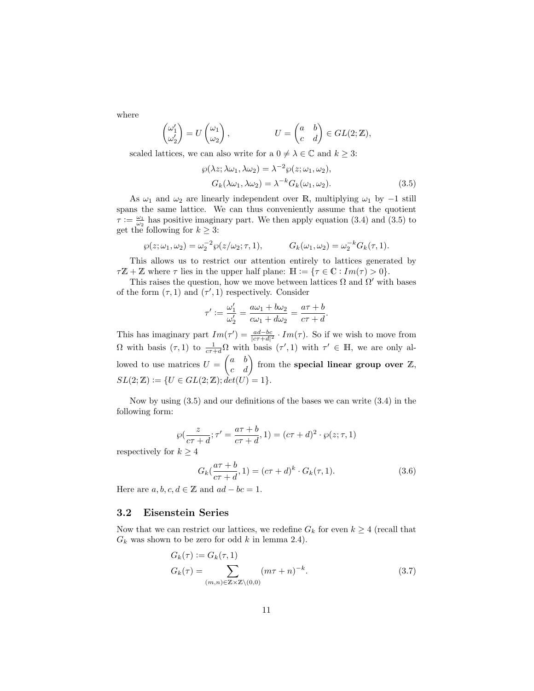where

$$
\begin{pmatrix} \omega_1' \\ \omega_2' \end{pmatrix} = U \begin{pmatrix} \omega_1 \\ \omega_2 \end{pmatrix}, \qquad U = \begin{pmatrix} a & b \\ c & d \end{pmatrix} \in GL(2;\mathbb{Z}),
$$

scaled lattices, we can also write for a  $0 \neq \lambda \in \mathbb{C}$  and  $k \geq 3$ :

$$
\wp(\lambda z; \lambda \omega_1, \lambda \omega_2) = \lambda^{-2} \wp(z; \omega_1, \omega_2),
$$
  
\n
$$
G_k(\lambda \omega_1, \lambda \omega_2) = \lambda^{-k} G_k(\omega_1, \omega_2).
$$
\n(3.5)

As  $\omega_1$  and  $\omega_2$  are linearly independent over R, multiplying  $\omega_1$  by  $-1$  still spans the same lattice. We can thus conveniently assume that the quotient  $\tau := \frac{\omega_1}{\omega_2}$  has positive imaginary part. We then apply equation (3.4) and (3.5) to get the following for  $k \geq 3$ :

$$
\wp(z; \omega_1, \omega_2) = \omega_2^{-2} \wp(z/\omega_2; \tau, 1), \qquad G_k(\omega_1, \omega_2) = \omega_2^{-k} G_k(\tau, 1).
$$

This allows us to restrict our attention entirely to lattices generated by  $\tau\mathbb{Z} + \mathbb{Z}$  where  $\tau$  lies in the upper half plane:  $\mathbb{H} := {\tau \in \mathbb{C} : Im(\tau) > 0}.$ 

This raises the question, how we move between lattices  $\Omega$  and  $\Omega'$  with bases of the form  $(\tau, 1)$  and  $(\tau', 1)$  respectively. Consider

$$
\tau' := \frac{\omega_1'}{\omega_2'} = \frac{a\omega_1 + b\omega_2}{c\omega_1 + d\omega_2} = \frac{a\tau + b}{c\tau + d}.
$$

This has imaginary part  $Im(\tau') = \frac{ad-bc}{|c\tau+d|^2} \cdot Im(\tau)$ . So if we wish to move from  $\Omega$  with basis  $(\tau,1)$  to  $\frac{1}{c\tau+d}\Omega$  with basis  $(\tau',1)$  with  $\tau' \in \mathbb{H}$ , we are only allowed to use matrices  $U = \begin{pmatrix} a & b \\ c & d \end{pmatrix}$  from the **special linear group over** Z,  $SL(2;\mathbb{Z}) := \{U \in GL(2;\mathbb{Z}); \hat{det}(U) = 1\}.$ 

Now by using (3.5) and our definitions of the bases we can write (3.4) in the following form:

$$
\wp(\frac{z}{c\tau+d};\tau'=\frac{a\tau+b}{c\tau+d},1)=(c\tau+d)^2\cdot\wp(z;\tau,1)
$$

respectively for  $k \geq 4$ 

$$
G_k(\frac{a\tau + b}{c\tau + d}, 1) = (c\tau + d)^k \cdot G_k(\tau, 1).
$$
 (3.6)

Here are  $a, b, c, d \in \mathbb{Z}$  and  $ad - bc = 1$ .

#### 3.2 Eisenstein Series

Now that we can restrict our lattices, we redefine  $G_k$  for even  $k \geq 4$  (recall that  $G_k$  was shown to be zero for odd k in lemma 2.4).

$$
G_k(\tau) := G_k(\tau, 1)
$$
  
\n
$$
G_k(\tau) = \sum_{(m,n) \in \mathbb{Z} \times \mathbb{Z} \setminus (0,0)} (m\tau + n)^{-k}.
$$
\n(3.7)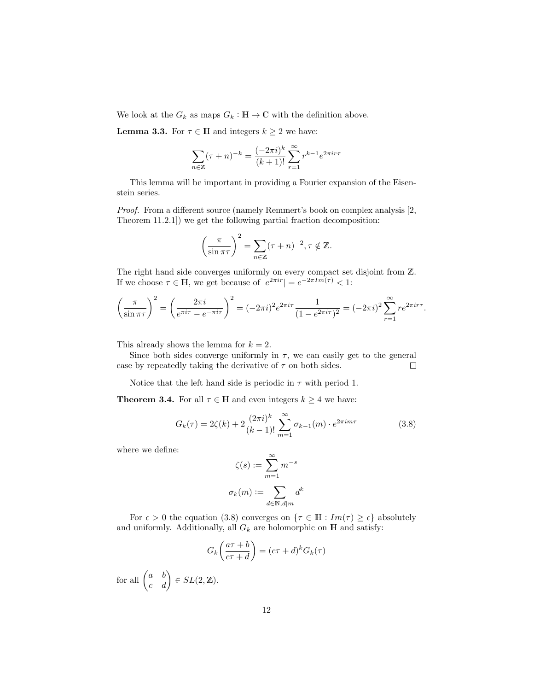We look at the  $G_k$  as maps  $G_k : \mathbb{H} \to \mathbb{C}$  with the definition above.

**Lemma 3.3.** For  $\tau \in \mathbb{H}$  and integers  $k \geq 2$  we have:

$$
\sum_{n \in \mathbb{Z}} (\tau + n)^{-k} = \frac{(-2\pi i)^k}{(k+1)!} \sum_{r=1}^{\infty} r^{k-1} e^{2\pi i r \tau}
$$

This lemma will be important in providing a Fourier expansion of the Eisenstein series.

Proof. From a different source (namely Remmert's book on complex analysis [2, Theorem 11.2.1]) we get the following partial fraction decomposition:

$$
\left(\frac{\pi}{\sin \pi \tau}\right)^2 = \sum_{n \in \mathbb{Z}} (\tau + n)^{-2}, \tau \notin \mathbb{Z}.
$$

The right hand side converges uniformly on every compact set disjoint from Z. If we choose  $\tau \in \mathbb{H}$ , we get because of  $|e^{2\pi i r}| = e^{-2\pi Im(\tau)} < 1$ :

$$
\left(\frac{\pi}{\sin \pi \tau}\right)^2 = \left(\frac{2\pi i}{e^{\pi i \tau} - e^{-\pi i \tau}}\right)^2 = (-2\pi i)^2 e^{2\pi i \tau} \frac{1}{(1 - e^{2\pi i \tau})^2} = (-2\pi i)^2 \sum_{r=1}^{\infty} r e^{2\pi i r \tau}.
$$

This already shows the lemma for  $k = 2$ .

Since both sides converge uniformly in  $\tau$ , we can easily get to the general case by repeatedly taking the derivative of  $\tau$  on both sides.  $\Box$ 

Notice that the left hand side is periodic in  $\tau$  with period 1.

**Theorem 3.4.** For all  $\tau \in \mathbb{H}$  and even integers  $k \geq 4$  we have:

$$
G_k(\tau) = 2\zeta(k) + 2\frac{(2\pi i)^k}{(k-1)!} \sum_{m=1}^{\infty} \sigma_{k-1}(m) \cdot e^{2\pi im\tau}
$$
 (3.8)

where we define:

$$
\zeta(s) := \sum_{m=1}^{\infty} m^{-s}
$$

$$
\sigma_k(m) := \sum_{d \in \mathbb{N}, d \mid m} d^k
$$

For  $\epsilon > 0$  the equation (3.8) converges on  $\{\tau \in \mathbb{H} : Im(\tau) \geq \epsilon\}$  absolutely and uniformly. Additionally, all  $G_k$  are holomorphic on  $H$  and satisfy:

$$
G_k\left(\frac{a\tau+b}{c\tau+d}\right) = (c\tau+d)^k G_k(\tau)
$$

for all  $\begin{pmatrix} a & b \\ c & d \end{pmatrix} \in SL(2, \mathbb{Z}).$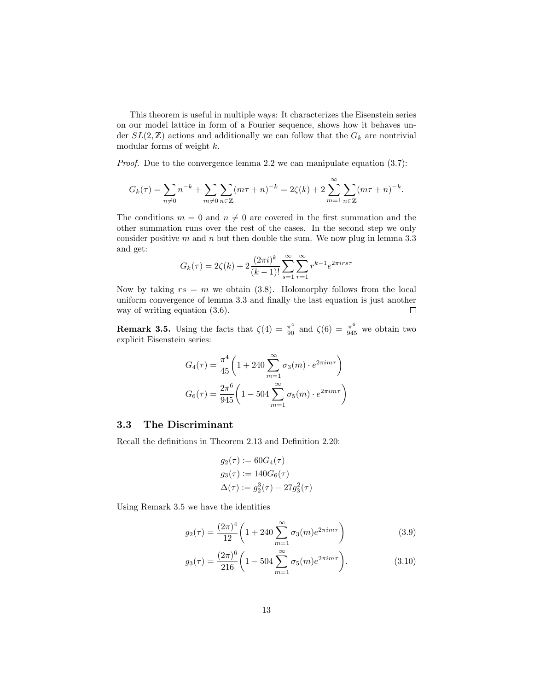This theorem is useful in multiple ways: It characterizes the Eisenstein series on our model lattice in form of a Fourier sequence, shows how it behaves under  $SL(2, \mathbb{Z})$  actions and additionally we can follow that the  $G_k$  are nontrivial modular forms of weight k.

Proof. Due to the convergence lemma 2.2 we can manipulate equation (3.7):

$$
G_k(\tau) = \sum_{n \neq 0} n^{-k} + \sum_{m \neq 0} \sum_{n \in \mathbb{Z}} (m\tau + n)^{-k} = 2\zeta(k) + 2\sum_{m=1}^{\infty} \sum_{n \in \mathbb{Z}} (m\tau + n)^{-k}.
$$

The conditions  $m = 0$  and  $n \neq 0$  are covered in the first summation and the other summation runs over the rest of the cases. In the second step we only consider positive  $m$  and  $n$  but then double the sum. We now plug in lemma 3.3 and get:

$$
G_k(\tau) = 2\zeta(k) + 2\frac{(2\pi i)^k}{(k-1)!} \sum_{s=1}^{\infty} \sum_{r=1}^{\infty} r^{k-1} e^{2\pi i r s \tau}
$$

Now by taking  $rs = m$  we obtain (3.8). Holomorphy follows from the local uniform convergence of lemma 3.3 and finally the last equation is just another way of writing equation (3.6).  $\Box$ 

**Remark 3.5.** Using the facts that  $\zeta(4) = \frac{\pi^4}{90}$  and  $\zeta(6) = \frac{\pi^6}{945}$  we obtain two explicit Eisenstein series:

$$
G_4(\tau) = \frac{\pi^4}{45} \left( 1 + 240 \sum_{m=1}^{\infty} \sigma_3(m) \cdot e^{2\pi i m \tau} \right)
$$

$$
G_6(\tau) = \frac{2\pi^6}{945} \left( 1 - 504 \sum_{m=1}^{\infty} \sigma_5(m) \cdot e^{2\pi i m \tau} \right)
$$

#### 3.3 The Discriminant

Recall the definitions in Theorem 2.13 and Definition 2.20:

$$
g_2(\tau) := 60G_4(\tau)
$$
  
\n
$$
g_3(\tau) := 140G_6(\tau)
$$
  
\n
$$
\Delta(\tau) := g_2^3(\tau) - 27g_3^2(\tau)
$$

Using Remark 3.5 we have the identities

$$
g_2(\tau) = \frac{(2\pi)^4}{12} \left( 1 + 240 \sum_{m=1}^{\infty} \sigma_3(m) e^{2\pi i m \tau} \right)
$$
 (3.9)

$$
g_3(\tau) = \frac{(2\pi)^6}{216} \left( 1 - 504 \sum_{m=1}^{\infty} \sigma_5(m) e^{2\pi i m \tau} \right).
$$
 (3.10)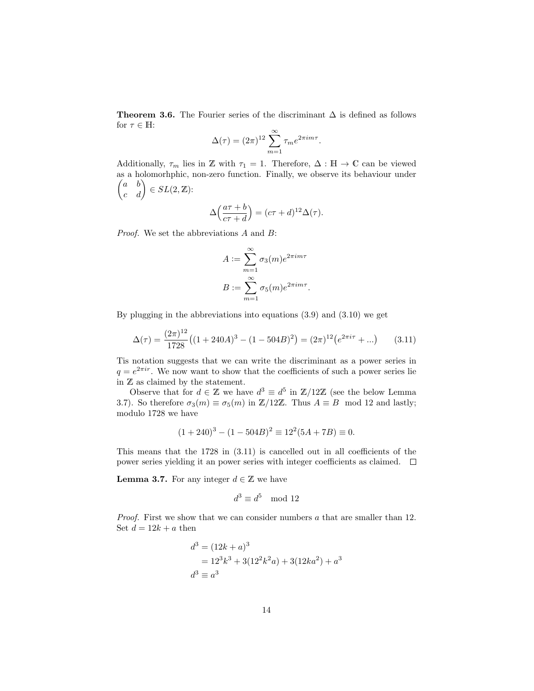Theorem 3.6. The Fourier series of the discriminant  $\Delta$  is defined as follows for  $\tau\in\mathbb{H}$  :

$$
\Delta(\tau) = (2\pi)^{12} \sum_{m=1}^{\infty} \tau_m e^{2\pi i m \tau}.
$$

Additionally,  $\tau_m$  lies in Z with  $\tau_1 = 1$ . Therefore,  $\Delta : \mathbb{H} \to \mathbb{C}$  can be viewed as a holomorhphic, non-zero function. Finally, we observe its behaviour under  $\begin{pmatrix} a & b \\ c & d \end{pmatrix} \in SL(2, \mathbb{Z})$ :

$$
\Delta\left(\frac{a\tau+b}{c\tau+d}\right) = (c\tau+d)^{12}\Delta(\tau).
$$

Proof. We set the abbreviations A and B:

$$
A := \sum_{m=1}^{\infty} \sigma_3(m) e^{2\pi i m \tau}
$$

$$
B := \sum_{m=1}^{\infty} \sigma_5(m) e^{2\pi i m \tau}.
$$

By plugging in the abbreviations into equations (3.9) and (3.10) we get

$$
\Delta(\tau) = \frac{(2\pi)^{12}}{1728} \left( (1 + 240A)^3 - (1 - 504B)^2 \right) = (2\pi)^{12} \left( e^{2\pi i \tau} + \dots \right) \tag{3.11}
$$

Tis notation suggests that we can write the discriminant as a power series in  $q = e^{2\pi i r}$ . We now want to show that the coefficients of such a power series lie in Z as claimed by the statement.

Observe that for  $d \in \mathbb{Z}$  we have  $d^3 \equiv d^5$  in  $\mathbb{Z}/12\mathbb{Z}$  (see the below Lemma 3.7). So therefore  $\sigma_3(m) \equiv \sigma_5(m)$  in  $\mathbb{Z}/12\mathbb{Z}$ . Thus  $A \equiv B \mod 12$  and lastly; modulo 1728 we have

$$
(1+240)^3 - (1-504B)^2 \equiv 12^2(5A+7B) \equiv 0.
$$

This means that the 1728 in (3.11) is cancelled out in all coefficients of the power series yielding it an power series with integer coefficients as claimed.  $\Box$ 

**Lemma 3.7.** For any integer  $d \in \mathbb{Z}$  we have

$$
d^3 \equiv d^5 \mod 12
$$

Proof. First we show that we can consider numbers a that are smaller than 12. Set  $d = 12k + a$  then

$$
d3 = (12k + a)3
$$
  
= 12<sup>3</sup>k<sup>3</sup> + 3(12<sup>2</sup>k<sup>2</sup>a) + 3(12ka<sup>2</sup>) + a<sup>3</sup>  

$$
d3 \equiv a3
$$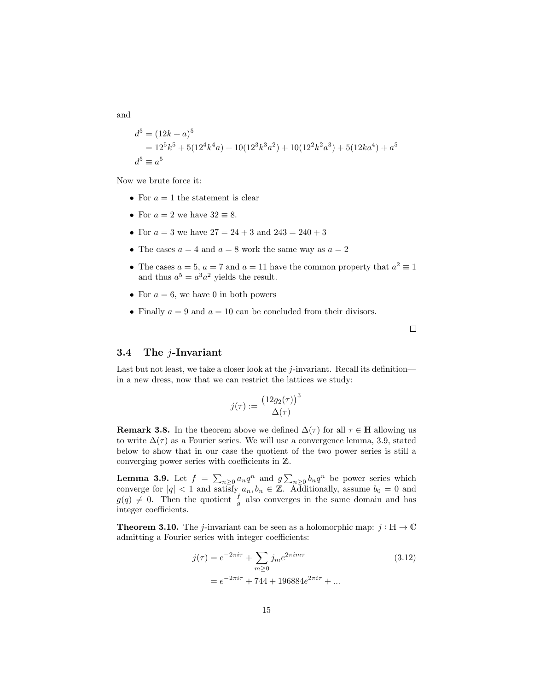and

$$
d5 = (12k + a)5
$$
  
= 12<sup>5</sup>k<sup>5</sup> + 5(12<sup>4</sup>k<sup>4</sup>a) + 10(12<sup>3</sup>k<sup>3</sup>a<sup>2</sup>) + 10(12<sup>2</sup>k<sup>2</sup>a<sup>3</sup>) + 5(12ka<sup>4</sup>) + a<sup>5</sup>  

$$
d5 \equiv a5
$$

Now we brute force it:

- For  $a = 1$  the statement is clear
- For  $a = 2$  we have  $32 \equiv 8$ .
- For  $a = 3$  we have  $27 = 24 + 3$  and  $243 = 240 + 3$
- The cases  $a = 4$  and  $a = 8$  work the same way as  $a = 2$
- The cases  $a = 5$ ,  $a = 7$  and  $a = 11$  have the common property that  $a^2 \equiv 1$ and thus  $a^5 = a^3 a^2$  yields the result.
- For  $a = 6$ , we have 0 in both powers
- Finally  $a = 9$  and  $a = 10$  can be concluded from their divisors.

 $\Box$ 

#### 3.4 The j-Invariant

Last but not least, we take a closer look at the  $j$ -invariant. Recall its definition in a new dress, now that we can restrict the lattices we study:

$$
j(\tau) := \frac{\left(12g_2(\tau)\right)^3}{\Delta(\tau)}
$$

**Remark 3.8.** In the theorem above we defined  $\Delta(\tau)$  for all  $\tau \in \mathbb{H}$  allowing us to write  $\Delta(\tau)$  as a Fourier series. We will use a convergence lemma, 3.9, stated below to show that in our case the quotient of the two power series is still a converging power series with coefficients in Z.

**Lemma 3.9.** Let  $f = \sum_{n\geq 0} a_n q^n$  and  $g \sum_{n\geq 0} b_n q^n$  be power series which converge for  $|q| < 1$  and satisfy  $a_n, b_n \in \mathbb{Z}$ . Additionally, assume  $b_0 = 0$  and  $g(q) \neq 0$ . Then the quotient  $\frac{f}{g}$  also converges in the same domain and has integer coefficients.

**Theorem 3.10.** The *j*-invariant can be seen as a holomorphic map:  $j : \mathbb{H} \to \mathbb{C}$ admitting a Fourier series with integer coefficients:

$$
j(\tau) = e^{-2\pi i \tau} + \sum_{m \ge 0} j_m e^{2\pi i m \tau}
$$
 (3.12)  
=  $e^{-2\pi i \tau} + 744 + 196884e^{2\pi i \tau} + ...$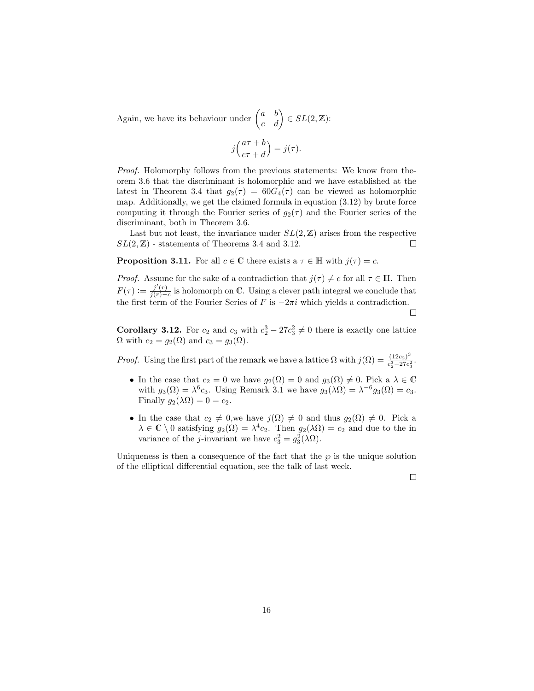Again, we have its behaviour under  $\begin{pmatrix} a & b \\ c & d \end{pmatrix} \in SL(2, \mathbb{Z})$ :

$$
j\left(\frac{a\tau+b}{c\tau+d}\right) = j(\tau).
$$

Proof. Holomorphy follows from the previous statements: We know from theorem 3.6 that the discriminant is holomorphic and we have established at the latest in Theorem 3.4 that  $g_2(\tau) = 60G_4(\tau)$  can be viewed as holomorphic map. Additionally, we get the claimed formula in equation (3.12) by brute force computing it through the Fourier series of  $g_2(\tau)$  and the Fourier series of the discriminant, both in Theorem 3.6.

Last but not least, the invariance under  $SL(2, \mathbb{Z})$  arises from the respective  $SL(2, \mathbb{Z})$  - statements of Theorems 3.4 and 3.12.  $\Box$ 

**Proposition 3.11.** For all  $c \in \mathbb{C}$  there exists a  $\tau \in \mathbb{H}$  with  $j(\tau) = c$ .

*Proof.* Assume for the sake of a contradiction that  $j(\tau) \neq c$  for all  $\tau \in \mathbb{H}$ . Then  $F(\tau) := \frac{j'(r)}{j(r)-r}$  $\frac{j'(r)}{j(r)-c}$  is holomorph on C. Using a clever path integral we conclude that the first term of the Fourier Series of F is  $-2\pi i$  which yields a contradiction.

 $\Box$ 

**Corollary 3.12.** For  $c_2$  and  $c_3$  with  $c_2^3 - 27c_3^2 \neq 0$  there is exactly one lattice  $\Omega$  with  $c_2 = g_2(\Omega)$  and  $c_3 = g_3(\Omega)$ .

*Proof.* Using the first part of the remark we have a lattice  $\Omega$  with  $j(\Omega) = \frac{(12c_2)^3}{c^3-27c^2}$  $\frac{(12c_2)}{c_2^3-27c_3^2}$ .

- In the case that  $c_2 = 0$  we have  $g_2(\Omega) = 0$  and  $g_3(\Omega) \neq 0$ . Pick a  $\lambda \in \mathbb{C}$ with  $g_3(\Omega) = \lambda^6 c_3$ . Using Remark 3.1 we have  $g_3(\lambda \Omega) = \lambda^{-6} g_3(\Omega) = c_3$ . Finally  $g_2(\lambda \Omega) = 0 = c_2$ .
- In the case that  $c_2 \neq 0$ , we have  $j(\Omega) \neq 0$  and thus  $g_2(\Omega) \neq 0$ . Pick a  $\lambda \in \mathbb{C} \setminus 0$  satisfying  $g_2(\Omega) = \lambda^4 c_2$ . Then  $g_2(\lambda \Omega) = c_2$  and due to the in variance of the *j*-invariant we have  $c_3^2 = g_3^2(\lambda \Omega)$ .

Uniqueness is then a consequence of the fact that the  $\wp$  is the unique solution of the elliptical differential equation, see the talk of last week.

 $\Box$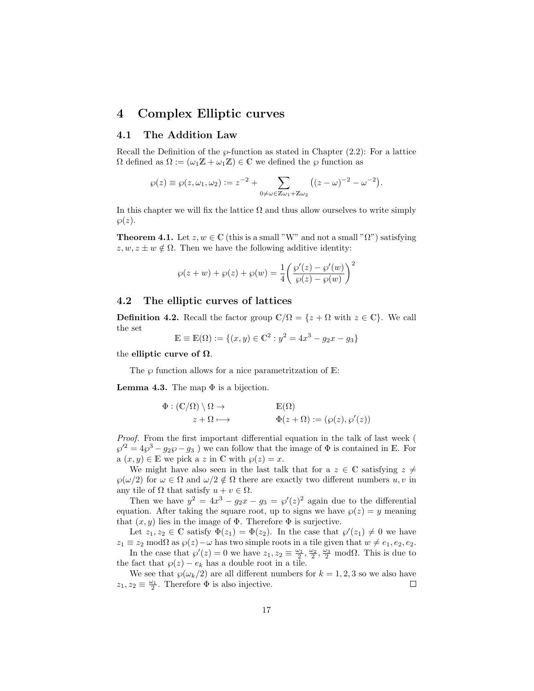## 4 Complex Elliptic curves

#### 4.1 The Addition Law

Recall the Definition of the  $\wp$ -function as stated in Chapter (2.2): For a lattice  $\Omega$  defined as  $\Omega := (\omega_1 \mathbb{Z} + \omega_1 \mathbb{Z}) \in \mathbb{C}$  we defined the  $\wp$  function as

$$
\wp(z) \equiv \wp(z, \omega_1, \omega_2) := z^{-2} + \sum_{0 \neq \omega \in \mathbb{Z} \omega_1 + \mathbb{Z} \omega_2} ((z - \omega)^{-2} - \omega^{-2}).
$$

In this chapter we will fix the lattice  $\Omega$  and thus allow ourselves to write simply  $\wp(z).$ 

**Theorem 4.1.** Let  $z, w \in \mathbb{C}$  (this is a small "W" and not a small " $\Omega$ ") satisfying  $z, w, z \pm w \notin \Omega$ . Then we have the following additive identity:

$$
\wp(z + w) + \wp(z) + \wp(w) = \frac{1}{4} \left( \frac{\wp'(z) - \wp'(w)}{\wp(z) - \wp(w)} \right)^2
$$

#### 4.2 The elliptic curves of lattices

**Definition 4.2.** Recall the factor group  $\mathbb{C}/\Omega = \{z + \Omega \text{ with } z \in \mathbb{C}\}\.$  We call the set

$$
\mathbb{E} \equiv \mathbb{E}(\Omega) := \{(x, y) \in \mathbb{C}^2 : y^2 = 4x^3 - g_2x - g_3\}
$$

the elliptic curve of  $\Omega$ .

The  $\wp$  function allows for a nice parametritzation of E:

**Lemma 4.3.** The map  $\Phi$  is a bijection.

$$
\Phi : (\mathbb{C}/\Omega) \setminus \Omega \to \mathbb{E}(\Omega)
$$
  

$$
z + \Omega \mapsto \Phi(z + \Omega) := (\wp(z), \wp'(z))
$$

Proof. From the first important differential equation in the talk of last week (  $\wp'^2 = 4\wp^3 - g_2\wp - g_3$ ) we can follow that the image of  $\Phi$  is contained in E. For  $a(x, y) \in \mathbb{E}$  we pick a z in C with  $\wp(z) = x$ .

We might have also seen in the last talk that for a  $z \in \mathbb{C}$  satisfying  $z \neq$  $\wp(\omega/2)$  for  $\omega \in \Omega$  and  $\omega/2 \notin \Omega$  there are exactly two different numbers  $u, v$  in any tile of  $\Omega$  that satisfy  $u + v \in \Omega$ .

Then we have  $y^2 = 4x^3 - g_2x - g_3 = \wp'(z)^2$  again due to the differential equation. After taking the square root, up to signs we have  $\wp(z) = y$  meaning that  $(x, y)$  lies in the image of  $\Phi$ . Therefore  $\Phi$  is surjective.

Let  $z_1, z_2 \in \mathbb{C}$  satisfy  $\Phi(z_1) = \Phi(z_2)$ . In the case that  $\wp'(z_1) \neq 0$  we have  $z_1 \equiv z_2 \mod \Omega$  as  $\wp(z) - \omega$  has two simple roots in a tile given that  $w \neq e_1, e_2, e_2$ .

In the case that  $\wp'(z) = 0$  we have  $z_1, z_2 \equiv \frac{\omega_1}{2}, \frac{\omega_2}{2}, \frac{\omega_3}{2} \mod \Omega$ . This is due to the fact that  $\wp(z) - e_k$  has a double root in a tile.

We see that  $\wp(\omega_k/2)$  are all different numbers for  $k = 1, 2, 3$  so we also have  $z_1, z_2 \equiv \frac{\omega_1}{2}$ . Therefore  $\Phi$  is also injective.  $\Box$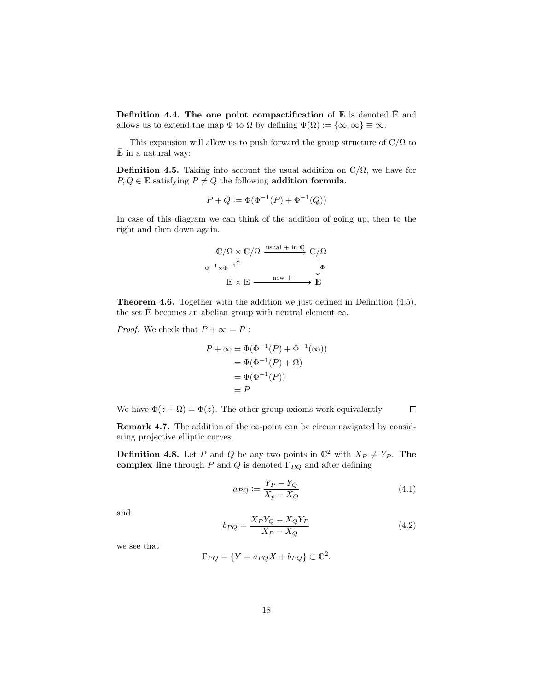Definition 4.4. The one point compactification of  $E$  is denoted  $\overline{E}$  and allows us to extend the map  $\Phi$  to  $\Omega$  by defining  $\Phi(\Omega) := {\infty, \infty} \equiv \infty$ .

This expansion will allow us to push forward the group structure of  $\mathbb{C}/\Omega$  to  $\bar{E}$  in a natural way:

**Definition 4.5.** Taking into account the usual addition on  $\mathbb{C}/\Omega$ , we have for  $P, Q \in \mathbb{E}$  satisfying  $P \neq Q$  the following addition formula.

$$
P + Q := \Phi(\Phi^{-1}(P) + \Phi^{-1}(Q))
$$

In case of this diagram we can think of the addition of going up, then to the right and then down again.

$$
\begin{array}{ccc}\n\mathbb{C}/\Omega \times \mathbb{C}/\Omega & \xrightarrow{\text{usual} + \text{ in } \mathbb{C}} & \mathbb{C}/\Omega \\
\Phi^{-1} \times \Phi^{-1} & & \downarrow \Phi \\
\mathbb{E} \times \mathbb{E} & \xrightarrow{\text{ new} +} & \to \mathbb{E}\n\end{array}
$$

Theorem 4.6. Together with the addition we just defined in Definition (4.5), the set E becomes an abelian group with neutral element  $\infty$ .

*Proof.* We check that  $P + \infty = P$ :

$$
P + \infty = \Phi(\Phi^{-1}(P) + \Phi^{-1}(\infty))
$$
  
=  $\Phi(\Phi^{-1}(P) + \Omega)$   
=  $\Phi(\Phi^{-1}(P))$   
=  $P$ 

We have  $\Phi(z + \Omega) = \Phi(z)$ . The other group axioms work equivalently  $\Box$ 

**Remark 4.7.** The addition of the  $\infty$ -point can be circumnavigated by considering projective elliptic curves.

**Definition 4.8.** Let P and Q be any two points in  $\mathbb{C}^2$  with  $X_P \neq Y_P$ . The complex line through P and Q is denoted  $\Gamma_{PQ}$  and after defining

$$
a_{PQ} := \frac{Y_P - Y_Q}{X_p - X_Q} \tag{4.1}
$$

and

$$
b_{PQ} = \frac{X_P Y_Q - X_Q Y_P}{X_P - X_Q} \tag{4.2}
$$

we see that

$$
\Gamma_{PQ} = \{ Y = a_{PQ}X + b_{PQ} \} \subset \mathbb{C}^2.
$$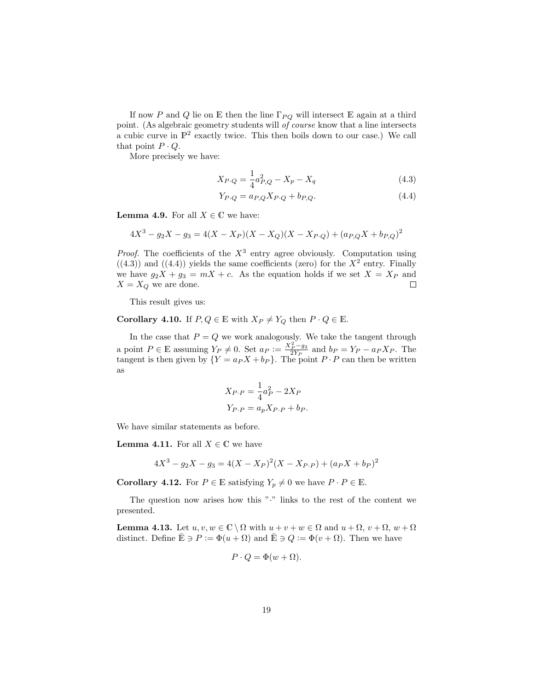If now P and Q lie on E then the line  $\Gamma_{PQ}$  will intersect E again at a third point. (As algebraic geometry students will of course know that a line intersects a cubic curve in  $\mathbb{P}^2$  exactly twice. This then boils down to our case.) We call that point  $P \cdot Q$ .

More precisely we have:

$$
X_{P\cdot Q} = \frac{1}{4}a_{P,Q}^2 - X_p - X_q \tag{4.3}
$$

$$
Y_{P\cdot Q} = a_{P,Q} X_{P\cdot Q} + b_{P,Q}.\tag{4.4}
$$

**Lemma 4.9.** For all  $X \in \mathbb{C}$  we have:

$$
4X^3 - g_2X - g_3 = 4(X - X_P)(X - X_Q)(X - X_{P \cdot Q}) + (a_{P,Q}X + b_{P,Q})^2
$$

*Proof.* The coefficients of the  $X^3$  entry agree obviously. Computation using  $((4.3))$  and  $((4.4))$  yields the same coefficients (zero) for the  $X^2$  entry. Finally we have  $g_2X + g_3 = mX + c$ . As the equation holds if we set  $X = X_P$  and  $X = X_Q$  we are done.  $\Box$ 

This result gives us:

**Corollary 4.10.** If  $P, Q \in \mathbb{E}$  with  $X_P \neq Y_Q$  then  $P \cdot Q \in \mathbb{E}$ .

In the case that  $P = Q$  we work analogously. We take the tangent through a point  $P \in \mathbb{E}$  assuming  $Y_P \neq 0$ . Set  $a_P := \frac{X_P^2 - g_2}{2Y_P}$  and  $b_P = Y_P - a_P X_P$ . The tangent is then given by  $\{Y = a_P X + b_P\}$ . The point  $P \cdot P$  can then be written as

$$
X_{P\cdot P} = \frac{1}{4}a_P^2 - 2X_P
$$
  

$$
Y_{P\cdot P} = a_p X_{P\cdot P} + b_P.
$$

We have similar statements as before.

**Lemma 4.11.** For all  $X \in \mathbb{C}$  we have

$$
4X^3 - g_2X - g_3 = 4(X - X_P)^2(X - X_{P \cdot P}) + (a_P X + b_P)^2
$$

**Corollary 4.12.** For  $P \in \mathbb{E}$  satisfying  $Y_p \neq 0$  we have  $P \cdot P \in \mathbb{E}$ .

The question now arises how this "·" links to the rest of the content we presented.

**Lemma 4.13.** Let  $u, v, w \in \mathbb{C} \setminus \Omega$  with  $u + v + w \in \Omega$  and  $u + \Omega, v + \Omega, w + \Omega$ distinct. Define  $\mathbb{\bar{E}} \ni P := \Phi(u + \Omega)$  and  $\mathbb{\bar{E}} \ni Q := \Phi(v + \Omega)$ . Then we have

$$
P \cdot Q = \Phi(w + \Omega).
$$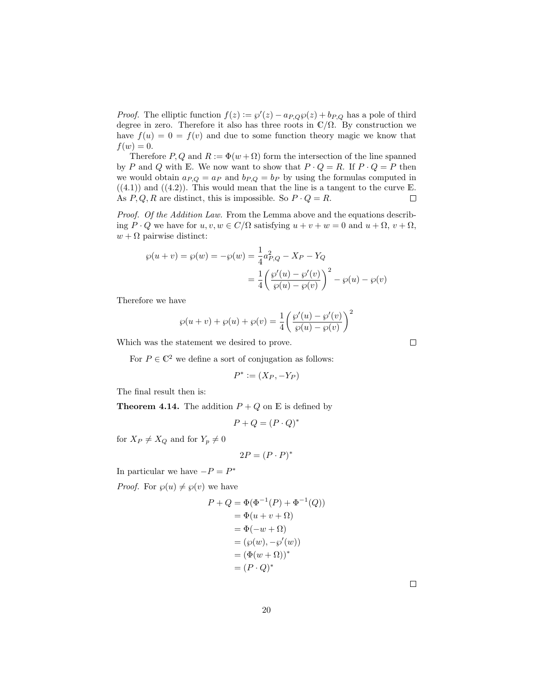*Proof.* The elliptic function  $f(z) := \wp'(z) - a_{P,Q}\wp(z) + b_{P,Q}$  has a pole of third degree in zero. Therefore it also has three roots in  $\mathbb{C}/\Omega$ . By construction we have  $f(u) = 0 = f(v)$  and due to some function theory magic we know that  $f(w) = 0.$ 

Therefore P, Q and  $R := \Phi(w + \Omega)$  form the intersection of the line spanned by P and Q with E. We now want to show that  $P \cdot Q = R$ . If  $P \cdot Q = P$  then we would obtain  $a_{P,Q} = a_P$  and  $b_{P,Q} = b_P$  by using the formulas computed in  $((4.1))$  and  $((4.2))$ . This would mean that the line is a tangent to the curve E. As  $P, Q, R$  are distinct, this is impossible. So  $P \cdot Q = R$ .  $\Box$ 

Proof. Of the Addition Law. From the Lemma above and the equations describing  $P \cdot Q$  we have for  $u, v, w \in C/\Omega$  satisfying  $u + v + w = 0$  and  $u + \Omega$ ,  $v + \Omega$ ,  $w + \Omega$  pairwise distinct:

$$
\wp(u + v) = \wp(w) = -\wp(w) = \frac{1}{4}a_{P,Q}^2 - X_P - Y_Q
$$

$$
= \frac{1}{4} \left( \frac{\wp'(u) - \wp'(v)}{\wp(u) - \wp(v)} \right)^2 - \wp(u) - \wp(v)
$$

Therefore we have

$$
\wp(u + v) + \wp(u) + \wp(v) = \frac{1}{4} \left( \frac{\wp'(u) - \wp'(v)}{\wp(u) - \wp(v)} \right)^2
$$

Which was the statement we desired to prove.

For  $P \in \mathbb{C}^2$  we define a sort of conjugation as follows:

$$
P^* := (X_P, -Y_P)
$$

The final result then is:

**Theorem 4.14.** The addition  $P + Q$  on E is defined by

$$
P + Q = (P \cdot Q)^*
$$

for  $X_P \neq X_Q$  and for  $Y_p \neq 0$ 

$$
2P = (P \cdot P)^*
$$

In particular we have  $-P = P^*$ 

*Proof.* For  $\varphi(u) \neq \varphi(v)$  we have

$$
P + Q = \Phi(\Phi^{-1}(P) + \Phi^{-1}(Q))
$$
  
=  $\Phi(u + v + \Omega)$   
=  $\Phi(-w + \Omega)$   
=  $(\wp(w), -\wp'(w))$   
=  $(\Phi(w + \Omega))^*$   
=  $(P \cdot Q)^*$ 

 $\Box$ 

 $\Box$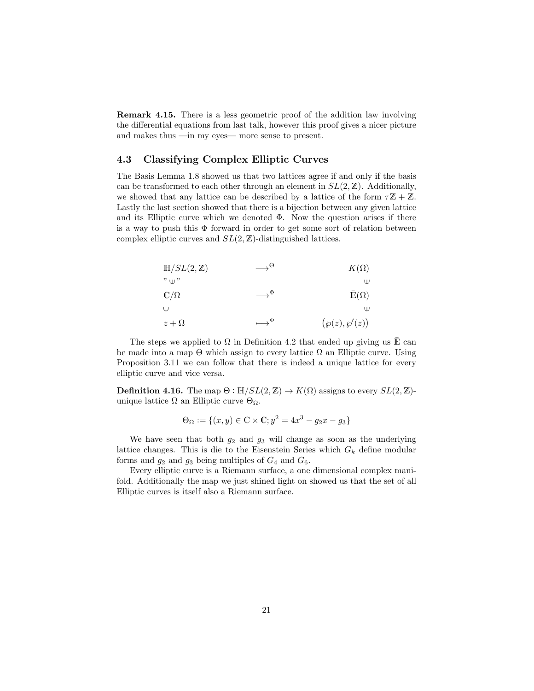Remark 4.15. There is a less geometric proof of the addition law involving the differential equations from last talk, however this proof gives a nicer picture and makes thus —in my eyes— more sense to present.

#### 4.3 Classifying Complex Elliptic Curves

The Basis Lemma 1.8 showed us that two lattices agree if and only if the basis can be transformed to each other through an element in  $SL(2, \mathbb{Z})$ . Additionally, we showed that any lattice can be described by a lattice of the form  $\tau \mathbb{Z} + \mathbb{Z}$ . Lastly the last section showed that there is a bijection between any given lattice and its Elliptic curve which we denoted  $\Phi$ . Now the question arises if there is a way to push this  $\Phi$  forward in order to get some sort of relation between complex elliptic curves and  $SL(2, \mathbb{Z})$ -distinguished lattices.

| $H/SL(2,\mathbb{Z})$ | $\rightarrow^{\Theta}$   | $K(\Omega)$         |
|----------------------|--------------------------|---------------------|
| $"$ $\cup$ "         |                          | Ψ                   |
| $\mathbb{C}/\Omega$  | $\rightarrow^{\Phi}$     | $\bar{E}(\Omega)$   |
| Ψ                    |                          | W                   |
| $z+\Omega$           | $\longrightarrow^{\Phi}$ | $(\wp(z), \wp'(z))$ |

The steps we applied to  $\Omega$  in Definition 4.2 that ended up giving us E can be made into a map  $\Theta$  which assign to every lattice  $\Omega$  an Elliptic curve. Using Proposition 3.11 we can follow that there is indeed a unique lattice for every elliptic curve and vice versa.

**Definition 4.16.** The map  $\Theta : \mathbb{H}/SL(2,\mathbb{Z}) \to K(\Omega)$  assigns to every  $SL(2,\mathbb{Z})$ unique lattice  $\Omega$  an Elliptic curve  $\Theta_{\Omega}$ .

$$
\Theta_{\Omega} := \{(x, y) \in \mathbb{C} \times \mathbb{C}; y^2 = 4x^3 - g_2x - g_3\}
$$

We have seen that both  $g_2$  and  $g_3$  will change as soon as the underlying lattice changes. This is die to the Eisenstein Series which  $G_k$  define modular forms and  $g_2$  and  $g_3$  being multiples of  $G_4$  and  $G_6$ .

Every elliptic curve is a Riemann surface, a one dimensional complex manifold. Additionally the map we just shined light on showed us that the set of all Elliptic curves is itself also a Riemann surface.